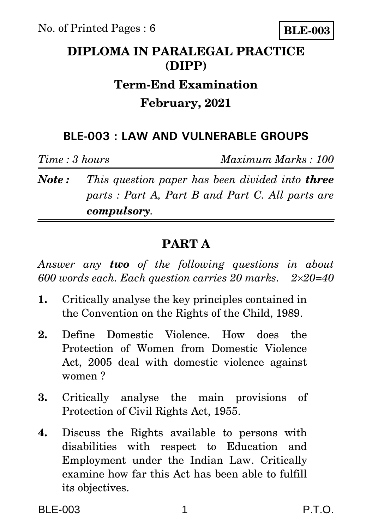

## **DIPLOMA IN PARALEGAL PRACTICE (DIPP)**

# **Term-End Examination**

#### **February, 2021**

### **BLE-003 : LAW AND VULNERABLE GROUPS**

*Time : 3 hours Maximum Marks : 100*

*Note : This question paper has been divided into three parts : Part A, Part B and Part C. All parts are compulsory.* 

## **PART A**

*Answer any two of the following questions in about 600 words each. Each question carries 20 marks. 220=40*

- **1.** Critically analyse the key principles contained in the Convention on the Rights of the Child, 1989.
- **2.** Define Domestic Violence. How does the Protection of Women from Domestic Violence Act, 2005 deal with domestic violence against women ?
- **3.** Critically analyse the main provisions of Protection of Civil Rights Act, 1955.
- **4.** Discuss the Rights available to persons with disabilities with respect to Education and Employment under the Indian Law. Critically examine how far this Act has been able to fulfill its objectives.

BLE-003 1 P.T.O.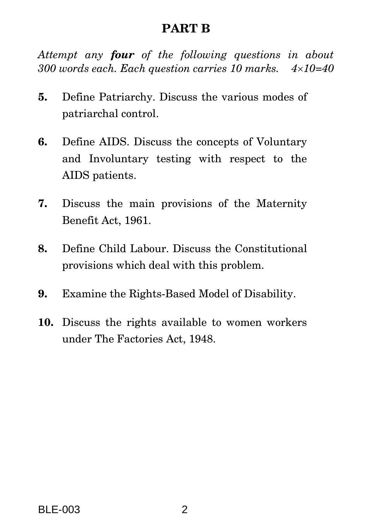#### **PART B**

*Attempt any four of the following questions in about 300 words each. Each question carries 10 marks. 410=40*

- **5.** Define Patriarchy. Discuss the various modes of patriarchal control.
- **6.** Define AIDS. Discuss the concepts of Voluntary and Involuntary testing with respect to the AIDS patients.
- **7.** Discuss the main provisions of the Maternity Benefit Act, 1961.
- **8.** Define Child Labour. Discuss the Constitutional provisions which deal with this problem.
- **9.** Examine the Rights-Based Model of Disability.
- **10.** Discuss the rights available to women workers under The Factories Act, 1948.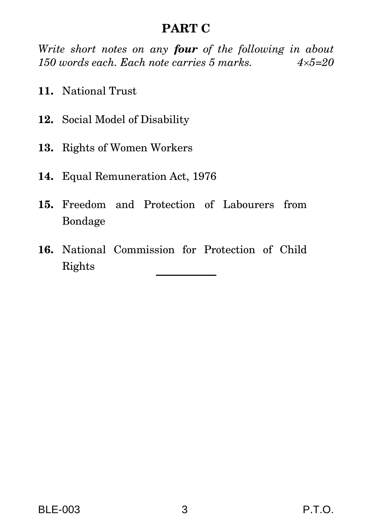### **PART C**

*Write short notes on any four of the following in about 150 words each. Each note carries 5 marks. 45=20*

- **11.** National Trust
- **12.** Social Model of Disability
- **13.** Rights of Women Workers
- **14.** Equal Remuneration Act, 1976
- **15.** Freedom and Protection of Labourers from Bondage
- **16.** National Commission for Protection of Child Rights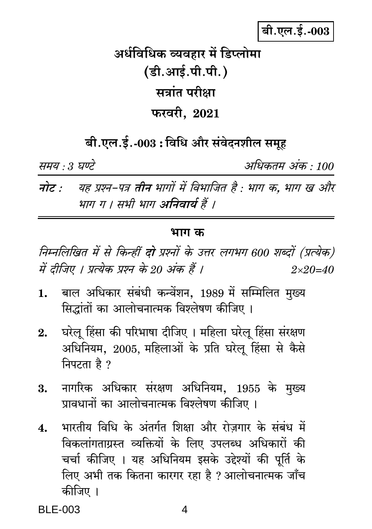# बी.एल.ई.-003

अर्धविधिक व्यवहार में डिप्लोमा (डी.आई.पी.पी.) सत्रांत परीक्षा फरवरी. 2021

बी.एल.ई.-003 : विधि और संवेदनशील समूह

समय : 3 घण्टे

अधिकतम अंक : 100

नोट : यह प्रश्न-पत्र तीन भागों में विभाजित है : भाग क, भाग ख और भाग ग । सभी भाग अनिवार्य हैं ।

#### भाग क

निम्नलिखित में से किन्हीं **दो** प्रश्नों के उत्तर लगभग 600 शब्दों (प्रत्येक) में दीजिए । प्रत्येक प्रश्न के 20 अंक हैं ।  $2 \times 20 = 40$ 

- बाल अधिकार संबंधी कन्वेंशन. 1989 में सम्मिलित मख्य  $\mathbf{1}$ . सिद्धांतों का आलोचनात्मक विश्लेषण कीजिए।
- घरेलु हिंसा की परिभाषा दीजिए । महिला घरेलु हिंसा संरक्षण  $2.$ अधिनियम, 2005, महिलाओं के प्रति घरेलू हिंसा से कैसे निपटता है ?
- नागरिक अधिकार संरक्षण अधिनियम, 1955 के मुख्य 3. प्रावधानों का आलोचनात्मक विश्लेषण कीजिए।
- भारतीय विधि के अंतर्गत शिक्षा और रोजगार के संबंध में  $\boldsymbol{\Lambda}$ . विकलांगताग्रस्त व्यक्तियों के लिए उपलब्ध अधिकारों की चर्चा कीजिए । यह अधिनियम इसके उद्देश्यों की पूर्ति के लिए अभी तक कितना कारगर रहा है ? आलोचनात्मक जाँच कीजिए ।

**BLE-003**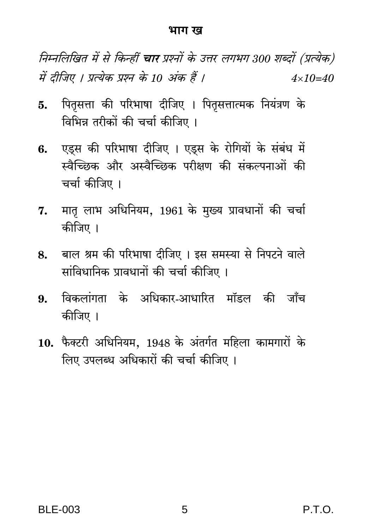#### भाग ख

निम्नलिखित में से किन्हीं **चार** प्रश्नों के उत्तर लगभग 300 शब्दों (प्रत्येक) में दीजिए । प्रत्येक प्रश्न के 10 अंक हैं ।  $4 \times 10 = 40$ 

- पितसत्ता की परिभाषा दीजिए । पितृसत्तात्मक नियंत्रण के 5. विभिन्न तरीकों की चर्चा कीजिए ।
- एड्स की परिभाषा दीजिए । एड्स के रोगियों के संबंध में 6. स्वैच्छिक और अस्वैच्छिक परीक्षण की संकल्पनाओं की चर्चा कीजिए ।
- मातृ लाभ अधिनियम, 1961 के मुख्य प्रावधानों की चर्चा 7. कीजिए ।
- बाल श्रम की परिभाषा दीजिए । इस समस्या से निपटने वाले 8. सांविधानिक प्रावधानों की चर्चा कीजिए ।
- विकलांगता के अधिकार-आधारित मॉडल की जाँच 9. कीजिए ।
- 10. फैक्टरी अधिनियम. 1948 के अंतर्गत महिला कामगारों के लिए उपलब्ध अधिकारों की चर्चा कीजिए ।

P.T.O.